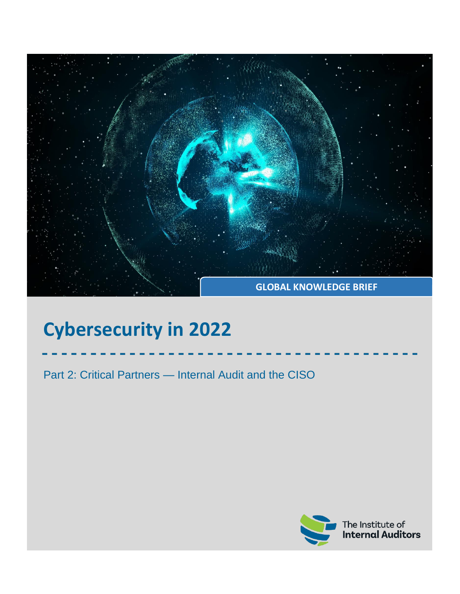

# **Cybersecurity in 2022**

Part 2: Critical Partners — Internal Audit and the CISO

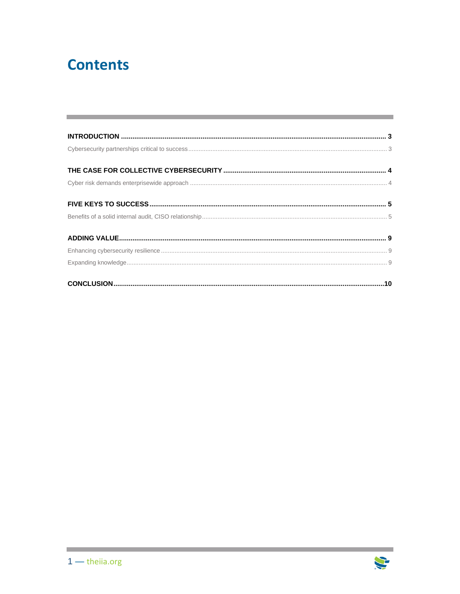## **Contents**

and the control of the control of the control of

a sa kacamatan ing Kabupatèn Kabupatèn Kabupatèn Kabupatèn Kabupatèn Kabupatèn Kabupatèn Kabupatèn Kabupatèn K

**Contract**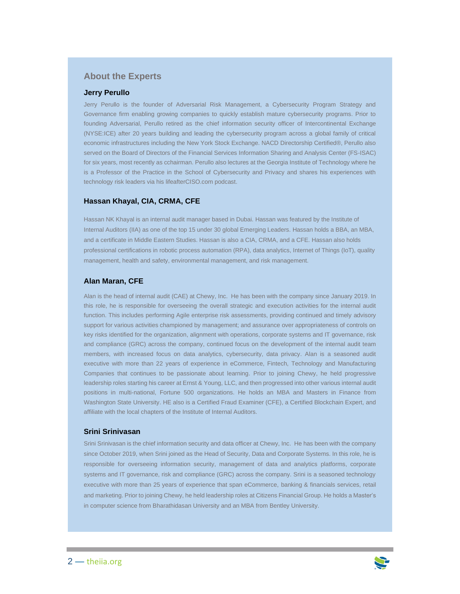#### **About the Experts**

#### **Jerry Perullo**

Jerry Perullo is the founder of Adversarial Risk Management, a Cybersecurity Program Strategy and Governance firm enabling growing companies to quickly establish mature cybersecurity programs. Prior to founding Adversarial, Perullo retired as the chief information security officer of Intercontinental Exchange (NYSE:ICE) after 20 years building and leading the cybersecurity program across a global family of critical economic infrastructures including the New York Stock Exchange. NACD Directorship Certified®, Perullo also served on the Board of Directors of the Financial Services Information Sharing and Analysis Center (FS-ISAC) for six years, most recently as cchairman. Perullo also lectures at the Georgia Institute of Technology where he is a Professor of the Practice in the School of Cybersecurity and Privacy and shares his experiences with technology risk leaders via his lifeafterCISO.com podcast.

#### **Hassan Khayal, CIA, CRMA, CFE**

Hassan NK Khayal is an internal audit manager based in Dubai. Hassan was featured by the Institute of Internal Auditors (IIA) as one of the top 15 under 30 global Emerging Leaders. Hassan holds a BBA, an MBA, and a certificate in Middle Eastern Studies. Hassan is also a CIA, CRMA, and a CFE. Hassan also holds professional certifications in robotic process automation (RPA), data analytics, Internet of Things (IoT), quality management, health and safety, environmental management, and risk management.

#### **Alan Maran, CFE**

Alan is the head of internal audit (CAE) at Chewy, Inc. He has been with the company since January 2019. In this role, he is responsible for overseeing the overall strategic and execution activities for the internal audit function. This includes performing Agile enterprise risk assessments, providing continued and timely advisory support for various activities championed by management; and assurance over appropriateness of controls on key risks identified for the organization, alignment with operations, corporate systems and IT governance, risk and compliance (GRC) across the company, continued focus on the development of the internal audit team members, with increased focus on data analytics, cybersecurity, data privacy. Alan is a seasoned audit executive with more than 22 years of experience in eCommerce, Fintech, Technology and Manufacturing Companies that continues to be passionate about learning. Prior to joining Chewy, he held progressive leadership roles starting his career at Ernst & Young, LLC, and then progressed into other various internal audit positions in multi-national, Fortune 500 organizations. He holds an MBA and Masters in Finance from Washington State University. HE also is a Certified Fraud Examiner (CFE), a Certified Blockchain Expert, and affiliate with the local chapters of the Institute of Internal Auditors.

#### **Srini Srinivasan**

Srini Srinivasan is the chief information security and data officer at Chewy, Inc. He has been with the company since October 2019, when Srini joined as the Head of Security, Data and Corporate Systems. In this role, he is responsible for overseeing information security, management of data and analytics platforms, corporate systems and IT governance, risk and compliance (GRC) across the company. Srini is a seasoned technology executive with more than 25 years of experience that span eCommerce, banking & financials services, retail and marketing. Prior to joining Chewy, he held leadership roles at Citizens Financial Group. He holds a Master's in computer science from Bharathidasan University and an MBA from Bentley University.

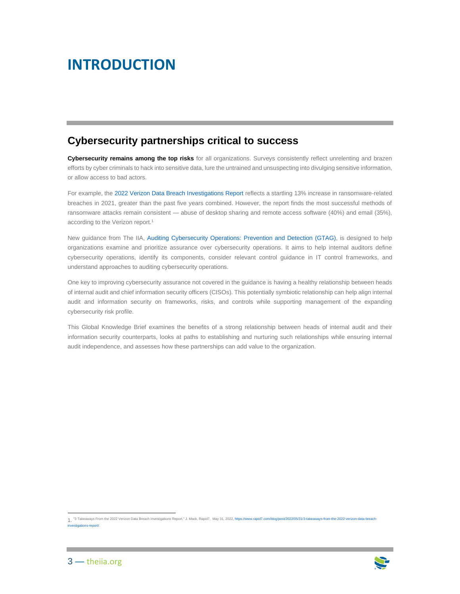### <span id="page-3-0"></span>**INTRODUCTION**

### <span id="page-3-1"></span>**Cybersecurity partnerships critical to success**

**Cybersecurity remains among the top risks** for all organizations. Surveys consistently reflect unrelenting and brazen efforts by cyber criminals to hack into sensitive data, lure the untrained and unsuspecting into divulging sensitive information, or allow access to bad actors.

For example, th[e 2022 Verizon Data Breach Investigations Report](https://www.rapid7.com/blog/post/2022/05/31/3-takeaways-from-the-2022-verizon-data-breach-investigations-report/) reflects a startling 13% increase in ransomware-related breaches in 2021, greater than the past five years combined. However, the report finds the most successful methods of ransomware attacks remain consistent — abuse of desktop sharing and remote access software (40%) and email (35%), according to the Verizon report.<sup>1</sup>

New guidance from The IIA, [Auditing Cybersecurity Operations:](https://www.theiia.org/en/content/guidance/recommended/supplemental/gtags/gtag-auditing-cybersecurity-operations-prevention-and-detection/) Prevention and Detection (GTAG), is designed to help organizations examine and prioritize assurance over cybersecurity operations. It aims to help internal auditors define cybersecurity operations, identify its components, consider relevant control guidance in IT control frameworks, and understand approaches to auditing cybersecurity operations.

One key to improving cybersecurity assurance not covered in the guidance is having a healthy relationship between heads of internal audit and chief information security officers (CISOs). This potentially symbiotic relationship can help align internal audit and information security on frameworks, risks, and controls while supporting management of the expanding cybersecurity risk profile.

This Global Knowledge Brief examines the benefits of a strong relationship between heads of internal audit and their information security counterparts, looks at paths to establishing and nurturing such relationships while ensuring internal audit independence, and assesses how these partnerships can add value to the organization.

<sup>1.</sup> "3 Takeaways From the 2022 Verizon Data Breach Investigations Report," J. Mack, Rapid7, May 31, 202[2, https://www.rapid7.com/blog/post/2022/05/31/3-takeaways-from-the-2022-verizon-data-breach](https://www.rapid7.com/blog/post/2022/05/31/3-takeaways-from-the-2022-verizon-data-breach-investigations-report/)[investigations-report/.](https://www.rapid7.com/blog/post/2022/05/31/3-takeaways-from-the-2022-verizon-data-breach-investigations-report/)

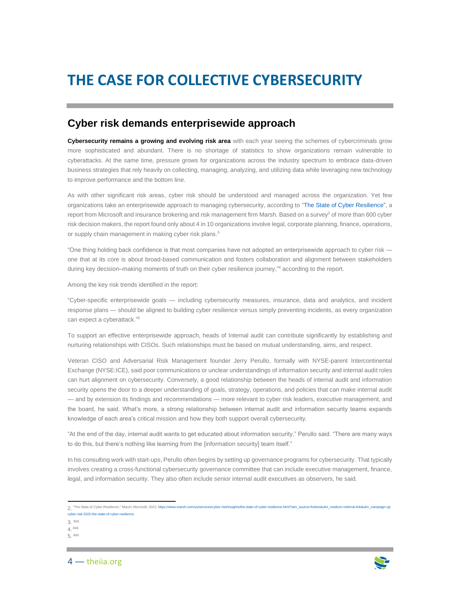## <span id="page-4-0"></span>**THE CASE FOR COLLECTIVE CYBERSECURITY**

### <span id="page-4-1"></span>**Cyber risk demands enterprisewide approach**

**Cybersecurity remains a growing and evolving risk area** with each year seeing the schemes of cybercriminals grow more sophisticated and abundant. There is no shortage of statistics to show organizations remain vulnerable to cyberattacks. At the same time, pressure grows for organizations across the industry spectrum to embrace data-driven business strategies that rely heavily on collecting, managing, analyzing, and utilizing data while leveraging new technology to improve performance and the bottom line.

As with other significant risk areas, cyber risk should be understood and managed across the organization. Yet few organizations take an enterprisewide approach to managing cybersecurity, according to ["The State of Cyber Resilience"](https://www.marsh.com/us/services/cyber-risk/insights/the-state-of-cyber-resilience.html?utm_source=forbes&utm_medium=referral-link&utm_campaign=gl-cyber-risk-2022-the-state-of-cyber-resilience), a report from Microsoft and insurance brokering and risk management firm Marsh. Based on a survey<sup>2</sup> of more than 600 cyber risk decision makers, the report found only about 4 in 10 organizations involve legal, corporate planning, finance, operations, or supply chain management in making cyber risk plans.<sup>3</sup>

"One thing holding back confidence is that most companies have not adopted an enterprisewide approach to cyber risk one that at its core is about broad-based communication and fosters collaboration and alignment between stakeholders during key decision–making moments of truth on their cyber resilience journey," <sup>4</sup> according to the report.

Among the key risk trends identified in the report:

"Cyber-specific enterprisewide goals — including cybersecurity measures, insurance, data and analytics, and incident response plans — should be aligned to building cyber resilience versus simply preventing incidents, as every organization can expect a cyberattack." 5

To support an effective enterprisewide approach, heads of Internal audit can contribute significantly by establishing and nurturing relationships with CISOs. Such relationships must be based on mutual understanding, aims, and respect.

Veteran CISO and Adversarial Risk Management founder Jerry Perullo, formally with NYSE-parent Intercontinental Exchange (NYSE:ICE), said poor communications or unclear understandings of information security and internal audit roles can hurt alignment on cybersecurity. Conversely, a good relationship between the heads of internal audit and information security opens the door to a deeper understanding of goals, strategy, operations, and policies that can make internal audit — and by extension its findings and recommendations — more relevant to cyber risk leaders, executive management, and the board, he said. What's more, a strong relationship between internal audit and information security teams expands knowledge of each area's critical mission and how they both support overall cybersecurity.

"At the end of the day, internal audit wants to get educated about information security," Perullo said. "There are many ways to do this, but there's nothing like learning from the [information security] team itself."

In his consulting work with start-ups, Perullo often begins by setting up governance programs for cybersecurity. That typically involves creating a cross-functional cybersecurity governance committee that can include executive management, finance, legal, and information security. They also often include senior internal audit executives as observers, he said.

3. Ibid.

4. ibid.

5. ibid.





<sup>2.</sup> "The State of Cyber Resilience," March, Microsoft, 202[2, https://www.marsh.com/us/services/cyber-risk/insights/the-state-of-cyber-resilience.html?utm\\_source=forbes&utm\\_medium=referral-link&utm\\_campaign=gl](https://www.marsh.com/us/services/cyber-risk/insights/the-state-of-cyber-resilience.html?utm_source=forbes&utm_medium=referral-link&utm_campaign=gl-cyber-risk-2022-the-state-of-cyber-resilience)cyber-risk-2022-the-state-of-cyber-resili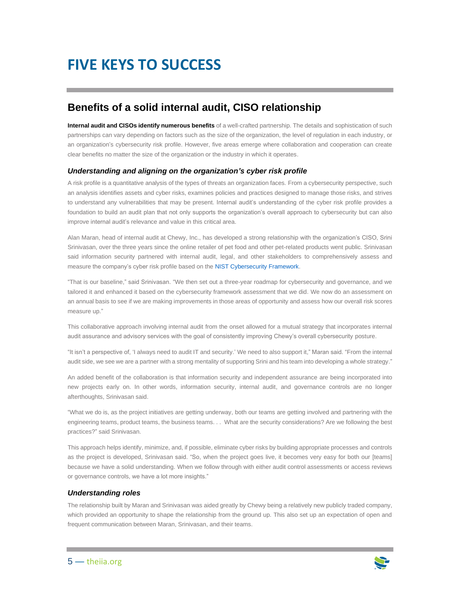## <span id="page-5-0"></span>**FIVE KEYS TO SUCCESS**

### <span id="page-5-1"></span>**Benefits of a solid internal audit, CISO relationship**

**Internal audit and CISOs identify numerous benefits** of a well-crafted partnership. The details and sophistication of such partnerships can vary depending on factors such as the size of the organization, the level of regulation in each industry, or an organization's cybersecurity risk profile. However, five areas emerge where collaboration and cooperation can create clear benefits no matter the size of the organization or the industry in which it operates.

#### *Understanding and aligning on the organization's cyber risk profile*

A risk profile is a quantitative analysis of the types of threats an organization faces. From a cybersecurity perspective, such an analysis identifies assets and cyber risks, examines policies and practices designed to manage those risks, and strives to understand any vulnerabilities that may be present. Internal audit's understanding of the cyber risk profile provides a foundation to build an audit plan that not only supports the organization's overall approach to cybersecurity but can also improve internal audit's relevance and value in this critical area.

Alan Maran, head of internal audit at Chewy, Inc., has developed a strong relationship with the organization's CISO, Srini Srinivasan, over the three years since the online retailer of pet food and other pet-related products went public. Srinivasan said information security partnered with internal audit, legal, and other stakeholders to comprehensively assess and measure the company's cyber risk profile based on th[e NIST Cybersecurity Framework.](https://www.nist.gov/cyberframework)

"That is our baseline," said Srinivasan. "We then set out a three-year roadmap for cybersecurity and governance, and we tailored it and enhanced it based on the cybersecurity framework assessment that we did. We now do an assessment on an annual basis to see if we are making improvements in those areas of opportunity and assess how our overall risk scores measure up."

This collaborative approach involving internal audit from the onset allowed for a mutual strategy that incorporates internal audit assurance and advisory services with the goal of consistently improving Chewy's overall cybersecurity posture.

"It isn't a perspective of, 'I always need to audit IT and security.' We need to also support it," Maran said. "From the internal audit side, we see we are a partner with a strong mentality of supporting Srini and his team into developing a whole strategy."

An added benefit of the collaboration is that information security and independent assurance are being incorporated into new projects early on. In other words, information security, internal audit, and governance controls are no longer afterthoughts, Srinivasan said.

"What we do is, as the project initiatives are getting underway, both our teams are getting involved and partnering with the engineering teams, product teams, the business teams. . . What are the security considerations? Are we following the best practices?" said Srinivasan.

This approach helps identify, minimize, and, if possible, eliminate cyber risks by building appropriate processes and controls as the project is developed, Srinivasan said. "So, when the project goes live, it becomes very easy for both our [teams] because we have a solid understanding. When we follow through with either audit control assessments or access reviews or governance controls, we have a lot more insights."

#### *Understanding roles*

The relationship built by Maran and Srinivasan was aided greatly by Chewy being a relatively new publicly traded company, which provided an opportunity to shape the relationship from the ground up. This also set up an expectation of open and frequent communication between Maran, Srinivasan, and their teams.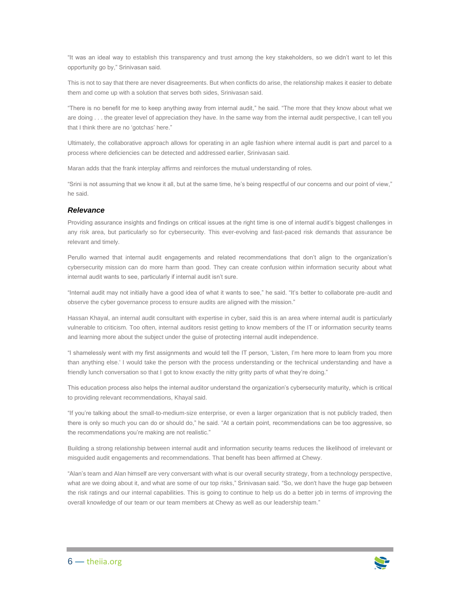"It was an ideal way to establish this transparency and trust among the key stakeholders, so we didn't want to let this opportunity go by," Srinivasan said.

This is not to say that there are never disagreements. But when conflicts do arise, the relationship makes it easier to debate them and come up with a solution that serves both sides, Srinivasan said.

"There is no benefit for me to keep anything away from internal audit," he said. "The more that they know about what we are doing . . . the greater level of appreciation they have. In the same way from the internal audit perspective, I can tell you that I think there are no 'gotchas' here."

Ultimately, the collaborative approach allows for operating in an agile fashion where internal audit is part and parcel to a process where deficiencies can be detected and addressed earlier, Srinivasan said.

Maran adds that the frank interplay affirms and reinforces the mutual understanding of roles.

"Srini is not assuming that we know it all, but at the same time, he's being respectful of our concerns and our point of view," he said.

#### *Relevance*

Providing assurance insights and findings on critical issues at the right time is one of internal audit's biggest challenges in any risk area, but particularly so for cybersecurity. This ever-evolving and fast-paced risk demands that assurance be relevant and timely.

Perullo warned that internal audit engagements and related recommendations that don't align to the organization's cybersecurity mission can do more harm than good. They can create confusion within information security about what internal audit wants to see, particularly if internal audit isn't sure.

"Internal audit may not initially have a good idea of what it wants to see," he said. "It's better to collaborate pre-audit and observe the cyber governance process to ensure audits are aligned with the mission."

Hassan Khayal, an internal audit consultant with expertise in cyber, said this is an area where internal audit is particularly vulnerable to criticism. Too often, internal auditors resist getting to know members of the IT or information security teams and learning more about the subject under the guise of protecting internal audit independence.

"I shamelessly went with my first assignments and would tell the IT person, 'Listen, I'm here more to learn from you more than anything else.' I would take the person with the process understanding or the technical understanding and have a friendly lunch conversation so that I got to know exactly the nitty gritty parts of what they're doing."

This education process also helps the internal auditor understand the organization's cybersecurity maturity, which is critical to providing relevant recommendations, Khayal said.

"If you're talking about the small-to-medium-size enterprise, or even a larger organization that is not publicly traded, then there is only so much you can do or should do," he said. "At a certain point, recommendations can be too aggressive, so the recommendations you're making are not realistic."

Building a strong relationship between internal audit and information security teams reduces the likelihood of irrelevant or misguided audit engagements and recommendations. That benefit has been affirmed at Chewy.

"Alan's team and Alan himself are very conversant with what is our overall security strategy, from a technology perspective, what are we doing about it, and what are some of our top risks," Srinivasan said. "So, we don't have the huge gap between the risk ratings and our internal capabilities. This is going to continue to help us do a better job in terms of improving the overall knowledge of our team or our team members at Chewy as well as our leadership team."

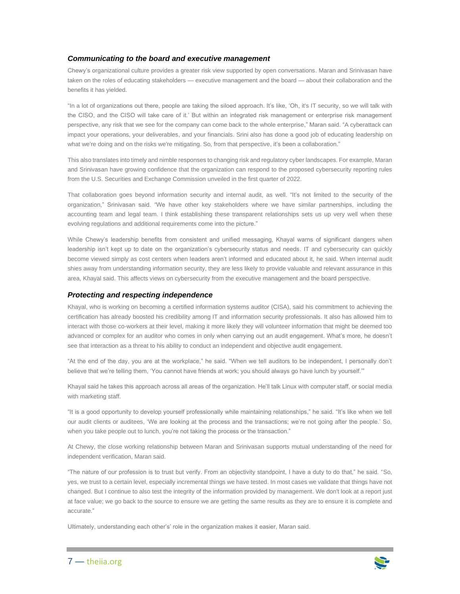#### *Communicating to the board and executive management*

Chewy's organizational culture provides a greater risk view supported by open conversations. Maran and Srinivasan have taken on the roles of educating stakeholders — executive management and the board — about their collaboration and the benefits it has yielded.

"In a lot of organizations out there, people are taking the siloed approach. It's like, 'Oh, it's IT security, so we will talk with the CISO, and the CISO will take care of it.' But within an integrated risk management or enterprise risk management perspective, any risk that we see for the company can come back to the whole enterprise," Maran said. "A cyberattack can impact your operations, your deliverables, and your financials. Srini also has done a good job of educating leadership on what we're doing and on the risks we're mitigating. So, from that perspective, it's been a collaboration."

This also translates into timely and nimble responses to changing risk and regulatory cyber landscapes. For example, Maran and Srinivasan have growing confidence that the organization can respond to the proposed cybersecurity reporting rules from the U.S. Securities and Exchange Commission unveiled in the first quarter of 2022.

That collaboration goes beyond information security and internal audit, as well. "It's not limited to the security of the organization," Srinivasan said. "We have other key stakeholders where we have similar partnerships, including the accounting team and legal team. I think establishing these transparent relationships sets us up very well when these evolving regulations and additional requirements come into the picture."

While Chewy's leadership benefits from consistent and unified messaging, Khayal warns of significant dangers when leadership isn't kept up to date on the organization's cybersecurity status and needs. IT and cybersecurity can quickly become viewed simply as cost centers when leaders aren't informed and educated about it, he said. When internal audit shies away from understanding information security, they are less likely to provide valuable and relevant assurance in this area, Khayal said. This affects views on cybersecurity from the executive management and the board perspective.

#### *Protecting and respecting independence*

Khayal, who is working on becoming a certified information systems auditor (CISA), said his commitment to achieving the certification has already boosted his credibility among IT and information security professionals. It also has allowed him to interact with those co-workers at their level, making it more likely they will volunteer information that might be deemed too advanced or complex for an auditor who comes in only when carrying out an audit engagement. What's more, he doesn't see that interaction as a threat to his ability to conduct an independent and objective audit engagement.

"At the end of the day, you are at the workplace," he said. "When we tell auditors to be independent, I personally don't believe that we're telling them, 'You cannot have friends at work; you should always go have lunch by yourself.'"

Khayal said he takes this approach across all areas of the organization. He'll talk Linux with computer staff, or social media with marketing staff.

"It is a good opportunity to develop yourself professionally while maintaining relationships," he said. "It's like when we tell our audit clients or auditees, 'We are looking at the process and the transactions; we're not going after the people.' So, when you take people out to lunch, you're not taking the process or the transaction."

At Chewy, the close working relationship between Maran and Srinivasan supports mutual understanding of the need for independent verification, Maran said.

"The nature of our profession is to trust but verify. From an objectivity standpoint, I have a duty to do that," he said. "So, yes, we trust to a certain level, especially incremental things we have tested. In most cases we validate that things have not changed. But I continue to also test the integrity of the information provided by management. We don't look at a report just at face value; we go back to the source to ensure we are getting the same results as they are to ensure it is complete and accurate."

Ultimately, understanding each other's' role in the organization makes it easier, Maran said.

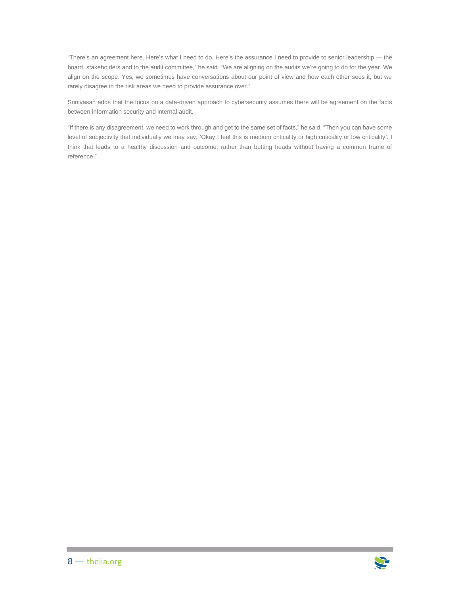"There's an agreement here. Here's what I need to do. Here's the assurance I need to provide to senior leadership — the board, stakeholders and to the audit committee," he said. "We are aligning on the audits we're going to do for the year. We align on the scope. Yes, we sometimes have conversations about our point of view and how each other sees it, but we rarely disagree in the risk areas we need to provide assurance over."

Srinivasan adds that the focus on a data-driven approach to cybersecurity assumes there will be agreement on the facts between information security and internal audit.

"If there is any disagreement, we need to work through and get to the same set of facts," he said. "Then you can have some level of subjectivity that individually we may say, 'Okay I feel this is medium criticality or high criticality or low criticality'. I think that leads to a healthy discussion and outcome, rather than butting heads without having a common frame of reference."

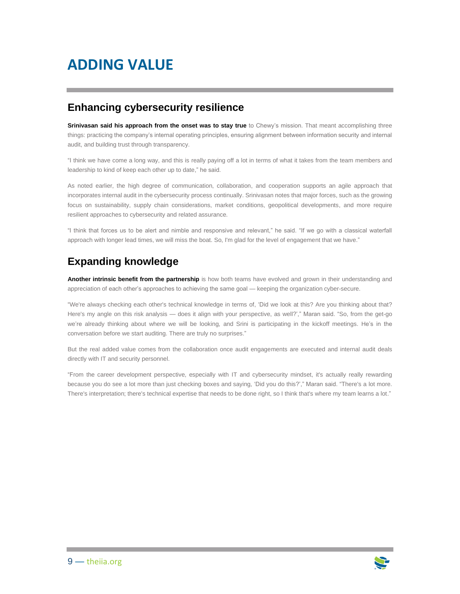## <span id="page-9-0"></span>**ADDING VALUE**

### <span id="page-9-1"></span>**Enhancing cybersecurity resilience**

**Srinivasan said his approach from the onset was to stay true** to Chewy's mission. That meant accomplishing three things: practicing the company's internal operating principles, ensuring alignment between information security and internal audit, and building trust through transparency.

"I think we have come a long way, and this is really paying off a lot in terms of what it takes from the team members and leadership to kind of keep each other up to date," he said.

As noted earlier, the high degree of communication, collaboration, and cooperation supports an agile approach that incorporates internal audit in the cybersecurity process continually. Srinivasan notes that major forces, such as the growing focus on sustainability, supply chain considerations, market conditions, geopolitical developments, and more require resilient approaches to cybersecurity and related assurance.

"I think that forces us to be alert and nimble and responsive and relevant," he said. "If we go with a classical waterfall approach with longer lead times, we will miss the boat. So, I'm glad for the level of engagement that we have."

### <span id="page-9-2"></span>**Expanding knowledge**

**Another intrinsic benefit from the partnership** is how both teams have evolved and grown in their understanding and appreciation of each other's approaches to achieving the same goal — keeping the organization cyber-secure.

"We're always checking each other's technical knowledge in terms of, 'Did we look at this? Are you thinking about that? Here's my angle on this risk analysis — does it align with your perspective, as well?'," Maran said. "So, from the get-go we're already thinking about where we will be looking, and Srini is participating in the kickoff meetings. He's in the conversation before we start auditing. There are truly no surprises."

But the real added value comes from the collaboration once audit engagements are executed and internal audit deals directly with IT and security personnel.

"From the career development perspective, especially with IT and cybersecurity mindset, it's actually really rewarding because you do see a lot more than just checking boxes and saying, 'Did you do this?'," Maran said. "There's a lot more. There's interpretation; there's technical expertise that needs to be done right, so I think that's where my team learns a lot."

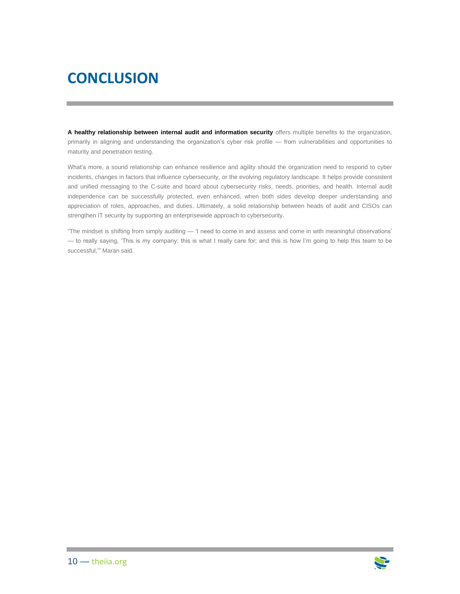## <span id="page-10-0"></span>**CONCLUSION**

**A healthy relationship between internal audit and information security** offers multiple benefits to the organization, primarily in aligning and understanding the organization's cyber risk profile — from vulnerabilities and opportunities to maturity and penetration testing.

What's more, a sound relationship can enhance resilience and agility should the organization need to respond to cyber incidents, changes in factors that influence cybersecurity, or the evolving regulatory landscape. It helps provide consistent and unified messaging to the C-suite and board about cybersecurity risks, needs, priorities, and health. Internal audit independence can be successfully protected, even enhanced, when both sides develop deeper understanding and appreciation of roles, approaches, and duties. Ultimately, a solid relationship between heads of audit and CISOs can strengthen IT security by supporting an enterprisewide approach to cybersecurity.

"The mindset is shifting from simply auditing — 'I need to come in and assess and come in with meaningful observations' — to really saying, 'This is my company; this is what I really care for; and this is how I'm going to help this team to be successful,'" Maran said.